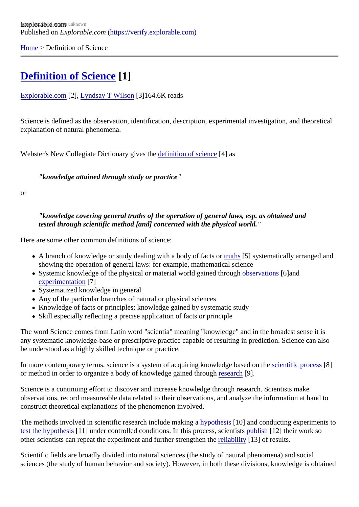[Home](https://verify.explorable.com/) > Definition of Science

## [Definition of Science](https://verify.explorable.com/definition-of-science)[1]

[Explorable.com](https://verify.explorable.com/)<sup>[2]</sup>, [Lyndsay T Wilson](https://explorable.com/users/Lyndsay T Wilson)<sup>[3]</sup>164.6K reads

Science is defined as the observation, identification, description, experimental investigation, and theoretical explanation of natural phenomena.

Webster's New Collegiate Dictionary gives the inition of scienco 4] as

"knowledge attained through study or practice"

or

"knowledge covering general truths of the operation of general laws, esp. as obtained and tested through scientific method [and] concerned with the physical world."

Here are some other common definitions of science:

- A branch of knowledge or study dealing with a body of facts or also systematically arranged and showing the operation of general laws: for example, mathematical science
- Systemic knowledge of the physical or material world gained through vation\$6]and [experimentatio](https://explorable.com/conducting-an-experiment)n<sup>71</sup>
- Systematized knowledge in general
- Any of the particular branches of natural or physical sciences
- Knowledge of facts or principles; knowledge gained by systematic study
- Skill especially reflecting a precise application of facts or principle

The word Science comes from Latin word "scientia" meaning "knowledge" and in the broadest sense it is any systematic knowledge-base or prescriptive practice capable of resulting in prediction. Science can als be understood as a highly skilled technique or practice.

In more contemporary terms, science is a system of acquiring knowledge based oven the process [8] or method in order to organize a body of knowledge gained through rch[9].

Science is a continuing effort to discover and increase knowledge through research. Scientists make observations, record measureable data related to their observations, and analyze the information at hand construct theoretical explanations of the phenomenon involved.

The methods involved in scientific research include making pathesis<sup>[10]</sup> and conducting experiments to [test the hypothes](https://explorable.com/hypothesis-testing)<sup>[41]</sup> under controlled conditions. In this process, scientists ish[12] their work so other scientists can repeat the experiment and further strengthen the results.

Scientific fields are broadly divided into natural sciences (the study of natural phenomena) and social sciences (the study of human behavior and society). However, in both these divisions, knowledge is obtain